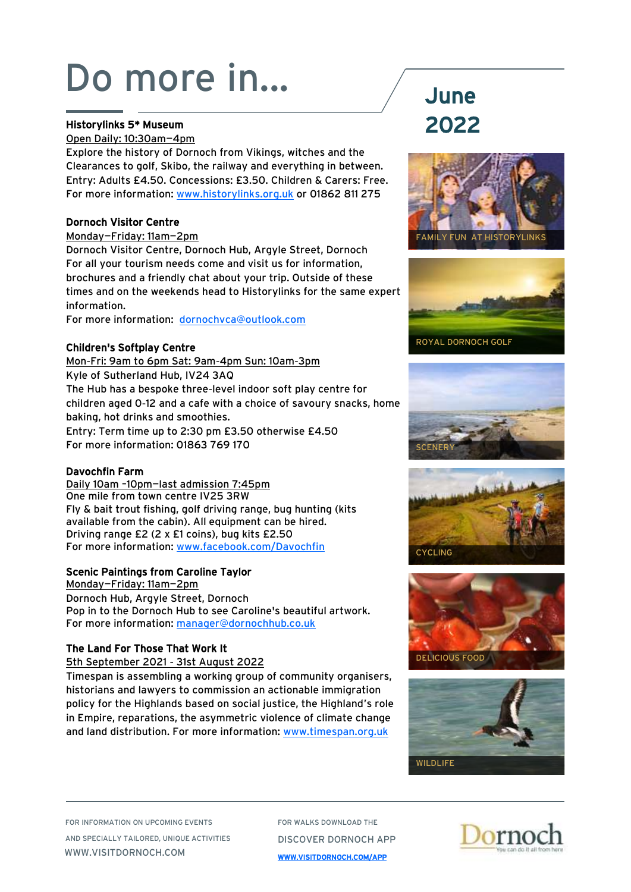### Historylinks 5\* Museum

Open Daily: 10:30am—4pm

Explore the history of Dornoch from Vikings, witches and the Clearances to golf, Skibo, the railway and everything in between. Entry: Adults £4.50. Concessions: £3.50. Children & Carers: Free. For more information: [www.historylinks.org.uk](http://www.historylinks.org.uk) or 01862 811 275

### Dornoch Visitor Centre

Monday—Friday: 11am—2pm

Dornoch Visitor Centre, Dornoch Hub, Argyle Street, Dornoch For all your tourism needs come and visit us for information, brochures and a friendly chat about your trip. Outside of these times and on the weekends head to Historylinks for the same expert information.

For more information: [dornochvca@outlook.com](mailto:dornochvca@outlook.com)

### Children's Softplay Centre

Mon-Fri: 9am to 6pm Sat: 9am-4pm Sun: 10am-3pm Kyle of Sutherland Hub, IV24 3AQ The Hub has a bespoke three-level indoor soft play centre for children aged 0-12 and a cafe with a choice of savoury snacks, home baking, hot drinks and smoothies. Entry: Term time up to 2:30 pm £3.50 otherwise £4.50 For more information: 01863 769 170

### Davochfin Farm

Daily 10am –10pm—last admission 7:45pm One mile from town centre IV25 3RW Fly & bait trout fishing, golf driving range, bug hunting (kits available from the cabin). All equipment can be hired. Driving range £2 (2 x £1 coins), bug kits £2.50 For more information: [www.facebook.com/Davochfin](https://www.facebook.com/Davochfin) 

### Scenic Paintings from Caroline Taylor

Monday—Friday: 11am—2pm Dornoch Hub, Argyle Street, Dornoch Pop in to the Dornoch Hub to see Caroline's beautiful artwork. For more information: [manager@dornochhub.co.uk](mailto:manager@dornochhub.co.uk)

### The Land For Those That Work It

5th September 2021 - 31st August 2022

Timespan is assembling a working group of community organisers, historians and lawyers to commission an actionable immigration policy for the Highlands based on social justice, the Highland's role in Empire, reparations, the asymmetric violence of climate change and land distribution. For more information: [www.timespan.org.uk](http://www.timespan.org.uk)

# 2022













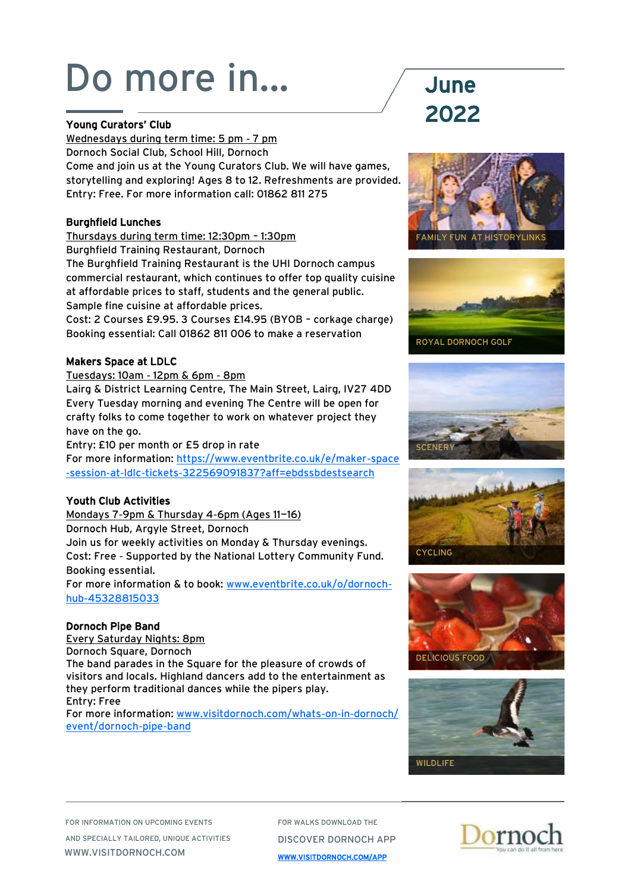### Young Curators' Club

Wednesdays during term time: 5 pm - 7 pm Dornoch Social Club, School Hill, Dornoch Come and join us at the Young Curators Club. We will have games, storytelling and exploring! Ages 8 to 12. Refreshments are provided. Entry: Free. For more information call: 01862 811 275

### Burghfield Lunches

Thursdays during term time: 12:30pm – 1:30pm

Burghfield Training Restaurant, Dornoch

The Burghfield Training Restaurant is the UHI Dornoch campus commercial restaurant, which continues to offer top quality cuisine at affordable prices to staff, students and the general public. Sample fine cuisine at affordable prices.

Cost: 2 Courses £9.95. 3 Courses £14.95 (BYOB – corkage charge) Booking essential: Call 01862 811 006 to make a reservation

### Makers Space at LDLC

Tuesdays: 10am - 12pm & 6pm - 8pm

Lairg & District Learning Centre, The Main Street, Lairg, IV27 4DD Every Tuesday morning and evening The Centre will be open for crafty folks to come together to work on whatever project they have on the go.

Entry: £10 per month or £5 drop in rate

For more information: [https://www.eventbrite.co.uk/e/maker-space](https://www.eventbrite.co.uk/e/maker-space-session-at-ldlc-tickets-322569091837?aff=ebdssbdestsearch) [-session-at-ldlc-tickets-322569091837?aff=ebdssbdestsearch](https://www.eventbrite.co.uk/e/maker-space-session-at-ldlc-tickets-322569091837?aff=ebdssbdestsearch)

## Youth Club Activities

Mondays 7-9pm & Thursday 4-6pm (Ages 11—16) Dornoch Hub, Argyle Street, Dornoch Join us for weekly activities on Monday & Thursday evenings. Cost: Free - Supported by the National Lottery Community Fund. Booking essential.

For more information & to book: [www.eventbrite.co.uk/o/dornoch](https://www.eventbrite.co.uk/o/dornoch-hub-45328815033)[hub-45328815033](https://www.eventbrite.co.uk/o/dornoch-hub-45328815033)

## Dornoch Pipe Band

Every Saturday Nights: 8pm Dornoch Square, Dornoch The band parades in the Square for the pleasure of crowds of visitors and locals. Highland dancers add to the entertainment as they perform traditional dances while the pipers play. Entry: Free For more information: [www.visitdornoch.com/whats-on-in-dornoch/](http://www.visitdornoch.com/whats-on-in-dornoch/event/dornoch-pipe-band)

[event/dornoch-pipe-band](http://www.visitdornoch.com/whats-on-in-dornoch/event/dornoch-pipe-band)

# 2022













FOR INFORMATION ON UPCOMING EVENTS AND SPECIALLY TAILORED, UNIQUE ACTIVITIES WWW.VISITDORNOCH.COM

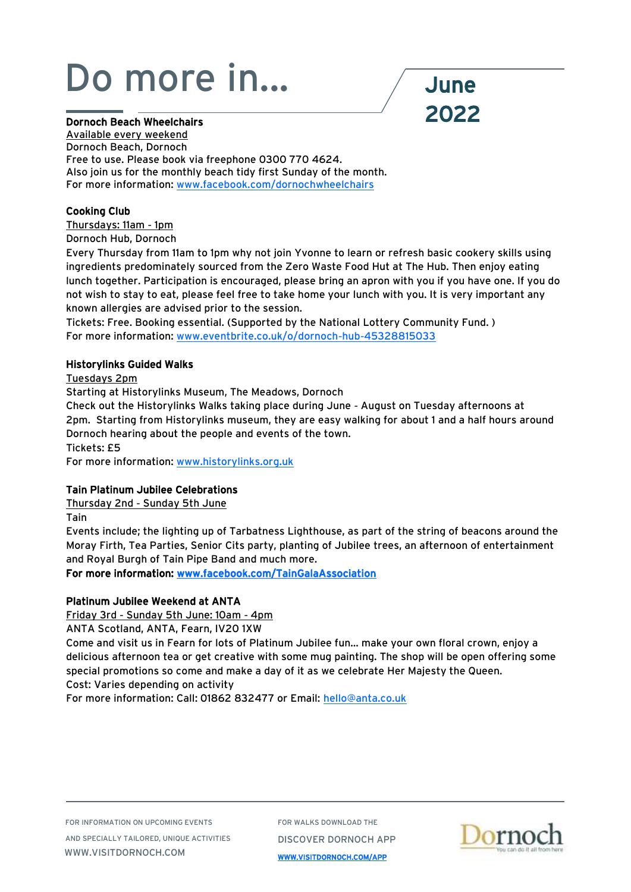#### Dornoch Beach Wheelchairs

2022

Available every weekend Dornoch Beach, Dornoch Free to use. Please book via freephone 0300 770 4624. Also join us for the monthly beach tidy first Sunday of the month. For more information: [www.facebook.com/dornochwheelchairs](https://www.facebook.com/dornochwheelchairs)

### Cooking Club

Thursdays: 11am - 1pm

Dornoch Hub, Dornoch

Every Thursday from 11am to 1pm why not join Yvonne to learn or refresh basic cookery skills using ingredients predominately sourced from the Zero Waste Food Hut at The Hub. Then enjoy eating lunch together. Participation is encouraged, please bring an apron with you if you have one. If you do not wish to stay to eat, please feel free to take home your lunch with you. It is very important any known allergies are advised prior to the session.

Tickets: Free. Booking essential. (Supported by the National Lottery Community Fund. ) For more information: [www.eventbrite.co.uk/o/dornoch-hub-45328815033](http://www.eventbrite.co.uk/o/dornoch-hub-45328815033)

#### Historylinks Guided Walks

Tuesdays 2pm

Starting at Historylinks Museum, The Meadows, Dornoch

Check out the Historylinks Walks taking place during June - August on Tuesday afternoons at 2pm. Starting from Historylinks museum, they are easy walking for about 1 and a half hours around Dornoch hearing about the people and events of the town.

Tickets: £5

For more information: [www.historylinks.org.uk](http://www.historylinks.org.uk)

### Tain Platinum Jubilee Celebrations

Thursday 2nd - Sunday 5th June

Tain

Events include; the lighting up of Tarbatness Lighthouse, as part of the string of beacons around the Moray Firth, Tea Parties, Senior Cits party, planting of Jubilee trees, an afternoon of entertainment and Royal Burgh of Tain Pipe Band and much more.

For more information: [www.facebook.com/TainGalaAssociation](http://www.facebook.com/TainGalaAssociation) 

### Platinum Jubilee Weekend at ANTA

Friday 3rd - Sunday 5th June: 10am - 4pm

ANTA Scotland, ANTA, Fearn, IV20 1XW

Come and visit us in Fearn for lots of Platinum Jubilee fun... make your own floral crown, enjoy a delicious afternoon tea or get creative with some mug painting. The shop will be open offering some special promotions so come and make a day of it as we celebrate Her Majesty the Queen. Cost: Varies depending on activity

For more information: Call: 01862 832477 or Email: [hello@anta.co.uk](mailto:hello@anta.co.uk)

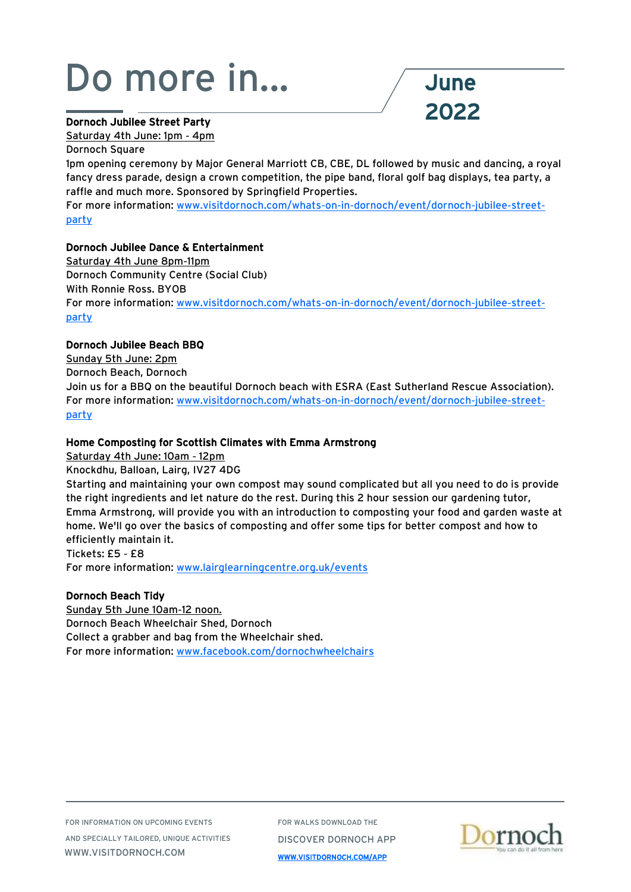### Dornoch Jubilee Street Party

Saturday 4th June: 1pm - 4pm

Dornoch Square

1pm opening ceremony by Major General Marriott CB, CBE, DL followed by music and dancing, a royal fancy dress parade, design a crown competition, the pipe band, floral golf bag displays, tea party, a raffle and much more. Sponsored by Springfield Properties.

2022

For more information: [www.visitdornoch.com/whats-on-in-dornoch/event/dornoch-jubilee-street](http://www.visitdornoch.com/whats-on-in-dornoch/event/dornoch-jubilee-street-party)[party](http://www.visitdornoch.com/whats-on-in-dornoch/event/dornoch-jubilee-street-party)

#### Dornoch Jubilee Dance & Entertainment

Saturday 4th June 8pm-11pm Dornoch Community Centre (Social Club) With Ronnie Ross. BYOB For more information: [www.visitdornoch.com/whats-on-in-dornoch/event/dornoch-jubilee-street](http://www.visitdornoch.com/whats-on-in-dornoch/event/dornoch-jubilee-street-party)[party](http://www.visitdornoch.com/whats-on-in-dornoch/event/dornoch-jubilee-street-party)

#### Dornoch Jubilee Beach BBQ

Sunday 5th June: 2pm Dornoch Beach, Dornoch Join us for a BBQ on the beautiful Dornoch beach with ESRA (East Sutherland Rescue Association). For more information: [www.visitdornoch.com/whats-on-in-dornoch/event/dornoch-jubilee-street](http://www.visitdornoch.com/whats-on-in-dornoch/event/dornoch-jubilee-street-party)[party](http://www.visitdornoch.com/whats-on-in-dornoch/event/dornoch-jubilee-street-party)

#### Home Composting for Scottish Climates with Emma Armstrong

Saturday 4th June: 10am - 12pm

Knockdhu, Balloan, Lairg, IV27 4DG

Starting and maintaining your own compost may sound complicated but all you need to do is provide the right ingredients and let nature do the rest. During this 2 hour session our gardening tutor, Emma Armstrong, will provide you with an introduction to composting your food and garden waste at home. We'll go over the basics of composting and offer some tips for better compost and how to efficiently maintain it.

Tickets: £5 - £8

For more information: [www.lairglearningcentre.org.uk/events](http://www.lairglearningcentre.org.uk/events)

#### Dornoch Beach Tidy

Sunday 5th June 10am-12 noon. Dornoch Beach Wheelchair Shed, Dornoch Collect a grabber and bag from the Wheelchair shed. For more information: [www.facebook.com/dornochwheelchairs](https://www.facebook.com/dornochwheelchairs)

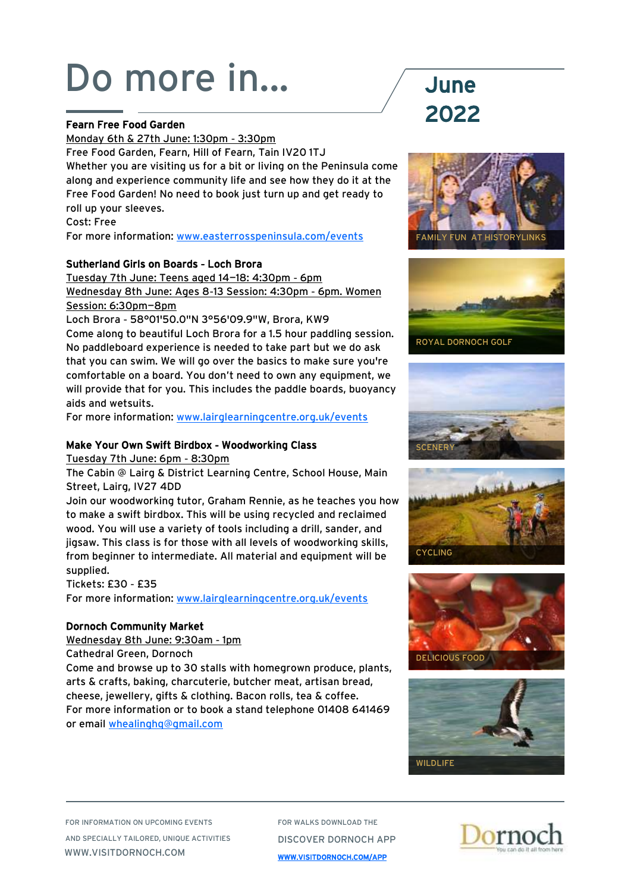### Fearn Free Food Garden

Monday 6th & 27th June: 1:30pm - 3:30pm Free Food Garden, Fearn, Hill of Fearn, Tain IV20 1TJ Whether you are visiting us for a bit or living on the Peninsula come along and experience community life and see how they do it at the Free Food Garden! No need to book just turn up and get ready to roll up your sleeves. Cost: Free

For more information: [www.easterrosspeninsula.com/events](http://www.easterrosspeninsula.com/events)

### Sutherland Girls on Boards - Loch Brora

Tuesday 7th June: Teens aged 14—18: 4:30pm - 6pm Wednesday 8th June: Ages 8-13 Session: 4:30pm - 6pm. Women Session: 6:30pm—8pm

Loch Brora - 58°01'50.0"N 3°56'09.9"W, Brora, KW9 Come along to beautiful Loch Brora for a 1.5 hour paddling session. No paddleboard experience is needed to take part but we do ask that you can swim. We will go over the basics to make sure you're comfortable on a board. You don't need to own any equipment, we will provide that for you. This includes the paddle boards, buoyancy aids and wetsuits.

For more information: [www.lairglearningcentre.org.uk/events](http://www.lairglearningcentre.org.uk/events)

### Make Your Own Swift Birdbox - Woodworking Class

Tuesday 7th June: 6pm - 8:30pm

The Cabin @ Lairg & District Learning Centre, School House, Main Street, Lairg, IV27 4DD

Join our woodworking tutor, Graham Rennie, as he teaches you how to make a swift birdbox. This will be using recycled and reclaimed wood. You will use a variety of tools including a drill, sander, and jigsaw. This class is for those with all levels of woodworking skills, from beginner to intermediate. All material and equipment will be supplied.

### Tickets: £30 - £35

For more information: [www.lairglearningcentre.org.uk/events](http://www.lairglearningcentre.org.uk/events)

### Dornoch Community Market

Wednesday 8th June: 9:30am - 1pm

Cathedral Green, Dornoch

Come and browse up to 30 stalls with homegrown produce, plants, arts & crafts, baking, charcuterie, butcher meat, artisan bread, cheese, jewellery, gifts & clothing. Bacon rolls, tea & coffee. For more information or to book a stand telephone 01408 641469 or email [whealinghq@gmail.com](mailto:whealinghq@gmail.com)

# 2022













FOR INFORMATION ON UPCOMING EVENTS AND SPECIALLY TAILORED, UNIQUE ACTIVITIES WWW.VISITDORNOCH.COM

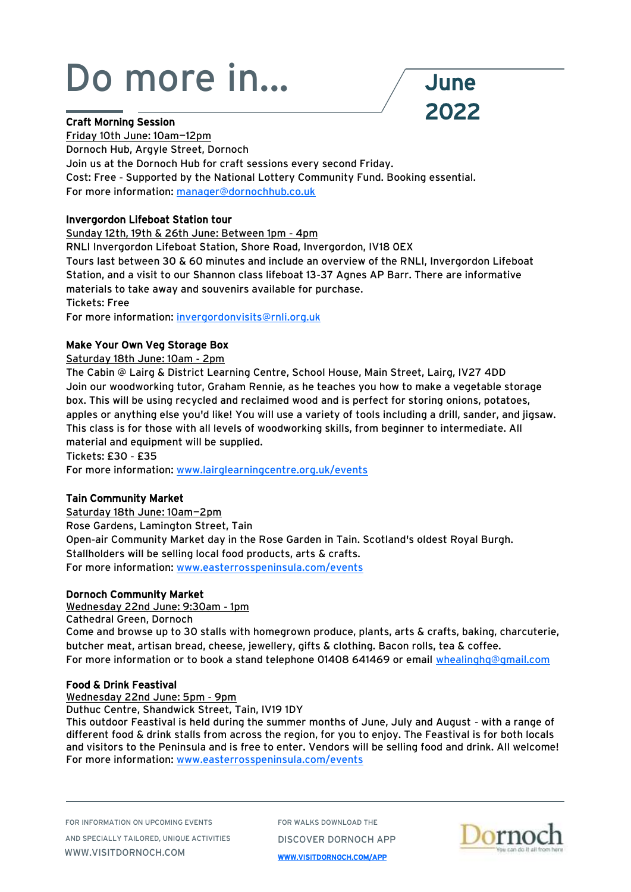

### Craft Morning Session

Friday 10th June: 10am—12pm Dornoch Hub, Argyle Street, Dornoch Join us at the Dornoch Hub for craft sessions every second Friday. Cost: Free - Supported by the National Lottery Community Fund. Booking essential. For more information: [manager@dornochhub.co.uk](mailto:manager@dornochhub.co.uk)

### Invergordon Lifeboat Station tour

Sunday 12th, 19th & 26th June: Between 1pm - 4pm

RNLI Invergordon Lifeboat Station, Shore Road, Invergordon, IV18 0EX

Tours last between 30 & 60 minutes and include an overview of the RNLI, Invergordon Lifeboat Station, and a visit to our Shannon class lifeboat 13-37 Agnes AP Barr. There are informative materials to take away and souvenirs available for purchase. Tickets: Free

For more information: [invergordonvisits@rnli.org.uk](mailto:invergordonvisits@rnli.org.uk)

### Make Your Own Veg Storage Box

Saturday 18th June: 10am - 2pm

The Cabin @ Lairg & District Learning Centre, School House, Main Street, Lairg, IV27 4DD Join our woodworking tutor, Graham Rennie, as he teaches you how to make a vegetable storage box. This will be using recycled and reclaimed wood and is perfect for storing onions, potatoes, apples or anything else you'd like! You will use a variety of tools including a drill, sander, and jigsaw. This class is for those with all levels of woodworking skills, from beginner to intermediate. All material and equipment will be supplied.

Tickets: £30 - £35

For more information: [www.lairglearningcentre.org.uk/events](http://www.lairglearningcentre.org.uk/events)

### Tain Community Market

Saturday 18th June: 10am—2pm Rose Gardens, Lamington Street, Tain Open-air Community Market day in the Rose Garden in Tain. Scotland's oldest Royal Burgh. Stallholders will be selling local food products, arts & crafts. For more information: [www.easterrosspeninsula.com/events](http://www.easterrosspeninsula.com/events)

### Dornoch Community Market

Wednesday 22nd June: 9:30am - 1pm

Cathedral Green, Dornoch Come and browse up to 30 stalls with homegrown produce, plants, arts & crafts, baking, charcuterie, butcher meat, artisan bread, cheese, jewellery, gifts & clothing. Bacon rolls, tea & coffee. For more information or to book a stand telephone 01408 641469 or email [whealinghq@gmail.com](mailto:whealinghq@gmail.com)

#### Food & Drink Feastival

Wednesday 22nd June: 5pm - 9pm

Duthuc Centre, Shandwick Street, Tain, IV19 1DY

This outdoor Feastival is held during the summer months of June, July and August - with a range of different food & drink stalls from across the region, for you to enjoy. The Feastival is for both locals and visitors to the Peninsula and is free to enter. Vendors will be selling food and drink. All welcome! For more information: [www.easterrosspeninsula.com/events](http://www.easterrosspeninsula.com/events)